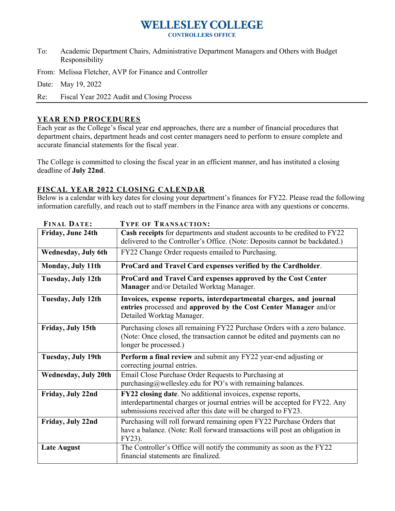# **WELLESLEY COLLEGE**

**CONTROLLERS OFFICE**

- To: Academic Department Chairs, Administrative Department Managers and Others with Budget Responsibility
- From: Melissa Fletcher, AVP for Finance and Controller
- Date: May 19, 2022

Re: Fiscal Year 2022 Audit and Closing Process

#### **YEAR END PROCEDURES**

Each year as the College's fiscal year end approaches, there are a number of financial procedures that department chairs, department heads and cost center managers need to perform to ensure complete and accurate financial statements for the fiscal year.

The College is committed to closing the fiscal year in an efficient manner, and has instituted a closing deadline of **July 22nd**.

#### **FISCAL YEAR 2022 CLOSING CALENDAR**

Below is a calendar with key dates for closing your department's finances for FY22. Please read the following information carefully, and reach out to staff members in the Finance area with any questions or concerns.

| <b>FINAL DATE:</b>          | <b>TYPE OF TRANSACTION:</b>                                                                                                                                                                                 |  |  |  |
|-----------------------------|-------------------------------------------------------------------------------------------------------------------------------------------------------------------------------------------------------------|--|--|--|
| Friday, June 24th           | Cash receipts for departments and student accounts to be credited to FY22<br>delivered to the Controller's Office. (Note: Deposits cannot be backdated.)                                                    |  |  |  |
| <b>Wednesday, July 6th</b>  | FY22 Change Order requests emailed to Purchasing.                                                                                                                                                           |  |  |  |
| Monday, July 11th           | ProCard and Travel Card expenses verified by the Cardholder.                                                                                                                                                |  |  |  |
| Tuesday, July 12th          | ProCard and Travel Card expenses approved by the Cost Center<br>Manager and/or Detailed Worktag Manager.                                                                                                    |  |  |  |
| Tuesday, July 12th          | Invoices, expense reports, interdepartmental charges, and journal<br>entries processed and approved by the Cost Center Manager and/or<br>Detailed Worktag Manager.                                          |  |  |  |
| Friday, July 15th           | Purchasing closes all remaining FY22 Purchase Orders with a zero balance.<br>(Note: Once closed, the transaction cannot be edited and payments can no<br>longer be processed.)                              |  |  |  |
| Tuesday, July 19th          | Perform a final review and submit any FY22 year-end adjusting or<br>correcting journal entries.                                                                                                             |  |  |  |
| <b>Wednesday, July 20th</b> | Email Close Purchase Order Requests to Purchasing at<br>purchasing@wellesley.edu for PO's with remaining balances.                                                                                          |  |  |  |
| Friday, July 22nd           | FY22 closing date. No additional invoices, expense reports,<br>interdepartmental charges or journal entries will be accepted for FY22. Any<br>submissions received after this date will be charged to FY23. |  |  |  |
| Friday, July 22nd           | Purchasing will roll forward remaining open FY22 Purchase Orders that<br>have a balance. (Note: Roll forward transactions will post an obligation in<br>FY23).                                              |  |  |  |
| <b>Late August</b>          | The Controller's Office will notify the community as soon as the FY22<br>financial statements are finalized.                                                                                                |  |  |  |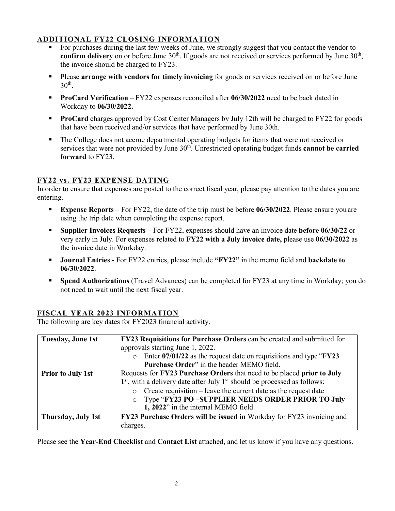### **ADDITIONAL FY22 CLOSING INFORMATION**

- For purchases during the last few weeks of June, we strongly suggest that you contact the vendor to confirm delivery on or before June 30<sup>th</sup>. If goods are not received or services performed by June 30<sup>th</sup>, the invoice should be charged to FY23.
- **Please arrange with vendors for timely invoicing** for goods or services received on or before June  $30<sup>th</sup>$ .
- **ProCard Verification** FY22 expenses reconciled after **06/30/2022** need to be back dated in Workday to **06/30/2022.**
- **ProCard** charges approved by Cost Center Managers by July 12th will be charged to FY22 for goods that have been received and/or services that have performed by June 30th.
- The College does not accrue departmental operating budgets for items that were not received or services that were not provided by June 30<sup>th</sup>. Unrestricted operating budget funds **cannot be carried forward** to FY23.

## **FY22 vs. FY23 EXPENSE DATING**

In order to ensure that expenses are posted to the correct fiscal year, please pay attention to the dates you are entering.

- **Expense Reports** For FY22, the date of the trip must be before 06/30/2022. Please ensure you are using the trip date when completing the expense report.
- **Supplier Invoices Requests** For FY22, expenses should have an invoice date **before 06/30/22** or very early in July. For expenses related to **FY22 with a July invoice date,** please use **06/30/2022** as the invoice date in Workday.
- **Journal Entries -** For FY22 entries, please include **"FY22"** in the memo field and **backdate to 06/30/2022**.
- **Spend Authorizations** (Travel Advances) can be completed for FY23 at any time in Workday; you do not need to wait until the next fiscal year.

# **FISCAL YEAR 2023 INFORMATION**

The following are key dates for FY2023 financial activity.

| Tuesday, June 1st        | FY23 Requisitions for Purchase Orders can be created and submitted for              |  |  |  |  |
|--------------------------|-------------------------------------------------------------------------------------|--|--|--|--|
|                          | approvals starting June 1, 2022.                                                    |  |  |  |  |
|                          | Enter $07/01/22$ as the request date on requisitions and type " $FY23$ "<br>$\circ$ |  |  |  |  |
|                          | Purchase Order" in the header MEMO field.                                           |  |  |  |  |
| <b>Prior to July 1st</b> | Requests for FY23 Purchase Orders that need to be placed prior to July              |  |  |  |  |
|                          | $1st$ , with a delivery date after July $1st$ should be processed as follows:       |  |  |  |  |
|                          | Create requisition $-$ leave the current date as the request date<br>$\circ$        |  |  |  |  |
|                          | Type "FY23 PO-SUPPLIER NEEDS ORDER PRIOR TO July<br>$\circ$                         |  |  |  |  |
|                          | 1, 2022" in the internal MEMO field                                                 |  |  |  |  |
| Thursday, July 1st       | FY23 Purchase Orders will be issued in Workday for FY23 invoicing and               |  |  |  |  |
|                          | charges.                                                                            |  |  |  |  |

Please see the **Year-End Checklist** and **Contact List** attached, and let us know if you have any questions.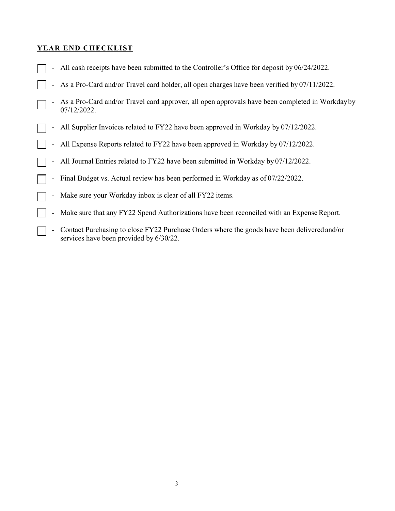#### **YEAR END CHECKLIST**

- All cash receipts have been submitted to the Controller's Office for deposit by 06/24/2022.
- As a Pro-Card and/or Travel card holder, all open charges have been verified by 07/11/2022.
- As a Pro-Card and/or Travel card approver, all open approvals have been completed in Workdayby 07/12/2022.
- All Supplier Invoices related to FY22 have been approved in Workday by 07/12/2022.
- All Expense Reports related to FY22 have been approved in Workday by 07/12/2022.
- All Journal Entries related to FY22 have been submitted in Workday by 07/12/2022.
- Final Budget vs. Actual review has been performed in Workday as of 07/22/2022.
- Make sure your Workday inbox is clear of all FY22 items.
- Make sure that any FY22 Spend Authorizations have been reconciled with an Expense Report.
- Contact Purchasing to close FY22 Purchase Orders where the goods have been delivered and/or services have been provided by 6/30/22.